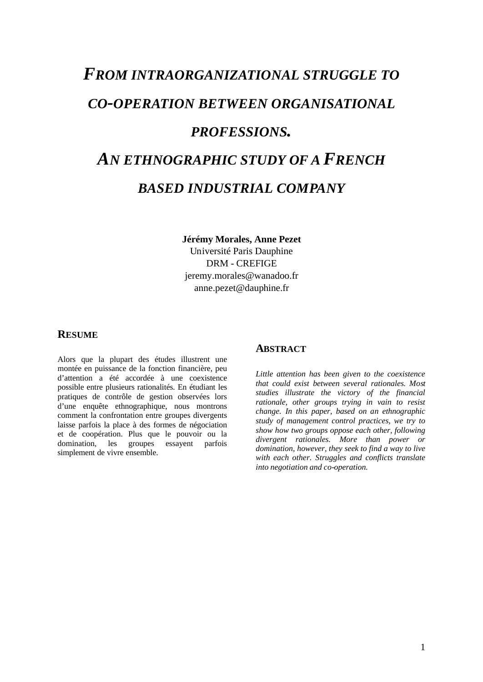# *FROM INTRAORGANIZATIONAL STRUGGLE TO CO-OPERATION BETWEEN ORGANISATIONAL PROFESSIONS. AN ETHNOGRAPHIC STUDY OF A FRENCH BASED INDUSTRIAL COMPANY*

# **Jérémy Morales, Anne Pezet** Université Paris Dauphine DRM - CREFIGE jeremy.morales@wanadoo.fr anne.pezet@dauphine.fr

## **RESUME**

Alors que la plupart des études illustrent une montée en puissance de la fonction financière, peu d'attention a été accordée à une coexistence possible entre plusieurs rationalités. En étudiant les pratiques de contrôle de gestion observées lors d'une enquête ethnographique, nous montrons comment la confrontation entre groupes divergents laisse parfois la place à des formes de négociation et de coopération. Plus que le pouvoir ou la domination, les groupes essayent parfois simplement de vivre ensemble.

## **ABSTRACT**

*Little attention has been given to the coexistence that could exist between several rationales. Most studies illustrate the victory of the financial rationale, other groups trying in vain to resist change. In this paper, based on an ethnographic study of management control practices, we try to show how two groups oppose each other, following divergent rationales. More than power or domination, however, they seek to find a way to live with each other. Struggles and conflicts translate into negotiation and co-operation.*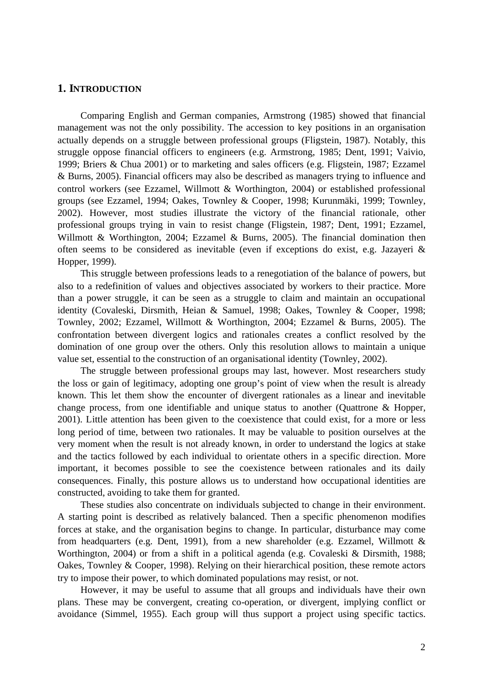## **1. INTRODUCTION**

Comparing English and German companies, Armstrong (1985) showed that financial management was not the only possibility. The accession to key positions in an organisation actually depends on a struggle between professional groups (Fligstein, 1987). Notably, this struggle oppose financial officers to engineers (e.g. Armstrong, 1985; Dent, 1991; Vaivio, 1999; Briers & Chua 2001) or to marketing and sales officers (e.g. Fligstein, 1987; Ezzamel & Burns, 2005). Financial officers may also be described as managers trying to influence and control workers (see Ezzamel, Willmott & Worthington, 2004) or established professional groups (see Ezzamel, 1994; Oakes, Townley & Cooper, 1998; Kurunmäki, 1999; Townley, 2002). However, most studies illustrate the victory of the financial rationale, other professional groups trying in vain to resist change (Fligstein, 1987; Dent, 1991; Ezzamel, Willmott & Worthington, 2004; Ezzamel & Burns, 2005). The financial domination then often seems to be considered as inevitable (even if exceptions do exist, e.g. Jazayeri & Hopper, 1999).

This struggle between professions leads to a renegotiation of the balance of powers, but also to a redefinition of values and objectives associated by workers to their practice. More than a power struggle, it can be seen as a struggle to claim and maintain an occupational identity (Covaleski, Dirsmith, Heian & Samuel, 1998; Oakes, Townley & Cooper, 1998; Townley, 2002; Ezzamel, Willmott & Worthington, 2004; Ezzamel & Burns, 2005). The confrontation between divergent logics and rationales creates a conflict resolved by the domination of one group over the others. Only this resolution allows to maintain a unique value set, essential to the construction of an organisational identity (Townley, 2002).

The struggle between professional groups may last, however. Most researchers study the loss or gain of legitimacy, adopting one group's point of view when the result is already known. This let them show the encounter of divergent rationales as a linear and inevitable change process, from one identifiable and unique status to another (Quattrone & Hopper, 2001). Little attention has been given to the coexistence that could exist, for a more or less long period of time, between two rationales. It may be valuable to position ourselves at the very moment when the result is not already known, in order to understand the logics at stake and the tactics followed by each individual to orientate others in a specific direction. More important, it becomes possible to see the coexistence between rationales and its daily consequences. Finally, this posture allows us to understand how occupational identities are constructed, avoiding to take them for granted.

These studies also concentrate on individuals subjected to change in their environment. A starting point is described as relatively balanced. Then a specific phenomenon modifies forces at stake, and the organisation begins to change. In particular, disturbance may come from headquarters (e.g. Dent, 1991), from a new shareholder (e.g. Ezzamel, Willmott & Worthington, 2004) or from a shift in a political agenda (e.g. Covaleski & Dirsmith, 1988; Oakes, Townley & Cooper, 1998). Relying on their hierarchical position, these remote actors try to impose their power, to which dominated populations may resist, or not.

However, it may be useful to assume that all groups and individuals have their own plans. These may be convergent, creating co-operation, or divergent, implying conflict or avoidance (Simmel, 1955). Each group will thus support a project using specific tactics.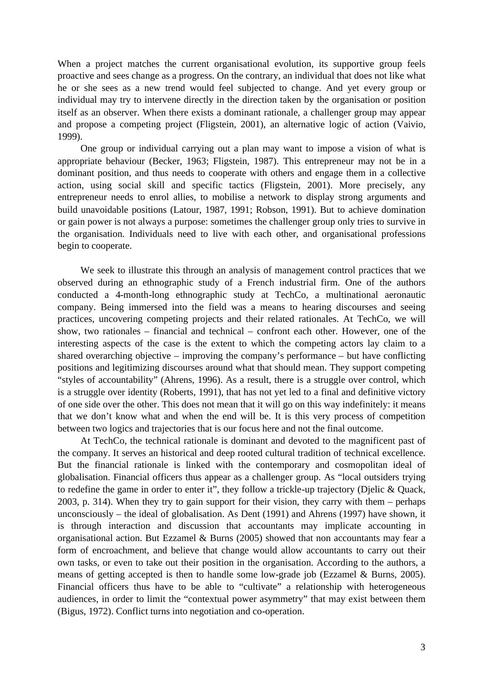When a project matches the current organisational evolution, its supportive group feels proactive and sees change as a progress. On the contrary, an individual that does not like what he or she sees as a new trend would feel subjected to change. And yet every group or individual may try to intervene directly in the direction taken by the organisation or position itself as an observer. When there exists a dominant rationale, a challenger group may appear and propose a competing project (Fligstein, 2001), an alternative logic of action (Vaivio, 1999).

One group or individual carrying out a plan may want to impose a vision of what is appropriate behaviour (Becker, 1963; Fligstein, 1987). This entrepreneur may not be in a dominant position, and thus needs to cooperate with others and engage them in a collective action, using social skill and specific tactics (Fligstein, 2001). More precisely, any entrepreneur needs to enrol allies, to mobilise a network to display strong arguments and build unavoidable positions (Latour, 1987, 1991; Robson, 1991). But to achieve domination or gain power is not always a purpose: sometimes the challenger group only tries to survive in the organisation. Individuals need to live with each other, and organisational professions begin to cooperate.

We seek to illustrate this through an analysis of management control practices that we observed during an ethnographic study of a French industrial firm. One of the authors conducted a 4-month-long ethnographic study at TechCo, a multinational aeronautic company. Being immersed into the field was a means to hearing discourses and seeing practices, uncovering competing projects and their related rationales. At TechCo, we will show, two rationales – financial and technical – confront each other. However, one of the interesting aspects of the case is the extent to which the competing actors lay claim to a shared overarching objective – improving the company's performance – but have conflicting positions and legitimizing discourses around what that should mean. They support competing "styles of accountability" (Ahrens, 1996). As a result, there is a struggle over control, which is a struggle over identity (Roberts, 1991), that has not yet led to a final and definitive victory of one side over the other. This does not mean that it will go on this way indefinitely: it means that we don't know what and when the end will be. It is this very process of competition between two logics and trajectories that is our focus here and not the final outcome.

At TechCo, the technical rationale is dominant and devoted to the magnificent past of the company. It serves an historical and deep rooted cultural tradition of technical excellence. But the financial rationale is linked with the contemporary and cosmopolitan ideal of globalisation. Financial officers thus appear as a challenger group. As "local outsiders trying to redefine the game in order to enter it", they follow a trickle-up trajectory (Djelic & Quack, 2003, p. 314). When they try to gain support for their vision, they carry with them – perhaps unconsciously – the ideal of globalisation. As Dent (1991) and Ahrens (1997) have shown, it is through interaction and discussion that accountants may implicate accounting in organisational action. But Ezzamel & Burns (2005) showed that non accountants may fear a form of encroachment, and believe that change would allow accountants to carry out their own tasks, or even to take out their position in the organisation. According to the authors, a means of getting accepted is then to handle some low-grade job (Ezzamel & Burns, 2005). Financial officers thus have to be able to "cultivate" a relationship with heterogeneous audiences, in order to limit the "contextual power asymmetry" that may exist between them (Bigus, 1972). Conflict turns into negotiation and co-operation.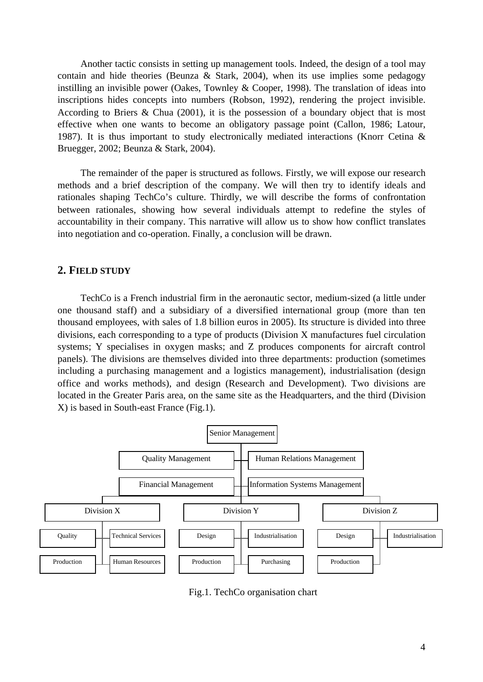Another tactic consists in setting up management tools. Indeed, the design of a tool may contain and hide theories (Beunza & Stark, 2004), when its use implies some pedagogy instilling an invisible power (Oakes, Townley & Cooper, 1998). The translation of ideas into inscriptions hides concepts into numbers (Robson, 1992), rendering the project invisible. According to Briers & Chua (2001), it is the possession of a boundary object that is most effective when one wants to become an obligatory passage point (Callon, 1986; Latour, 1987). It is thus important to study electronically mediated interactions (Knorr Cetina & Bruegger, 2002; Beunza & Stark, 2004).

The remainder of the paper is structured as follows. Firstly, we will expose our research methods and a brief description of the company. We will then try to identify ideals and rationales shaping TechCo's culture. Thirdly, we will describe the forms of confrontation between rationales, showing how several individuals attempt to redefine the styles of accountability in their company. This narrative will allow us to show how conflict translates into negotiation and co-operation. Finally, a conclusion will be drawn.

## **2. FIELD STUDY**

TechCo is a French industrial firm in the aeronautic sector, medium-sized (a little under one thousand staff) and a subsidiary of a diversified international group (more than ten thousand employees, with sales of 1.8 billion euros in 2005). Its structure is divided into three divisions, each corresponding to a type of products (Division X manufactures fuel circulation systems; Y specialises in oxygen masks; and Z produces components for aircraft control panels). The divisions are themselves divided into three departments: production (sometimes including a purchasing management and a logistics management), industrialisation (design office and works methods), and design (Research and Development). Two divisions are located in the Greater Paris area, on the same site as the Headquarters, and the third (Division X) is based in South-east France (Fig.1).



Fig.1. TechCo organisation chart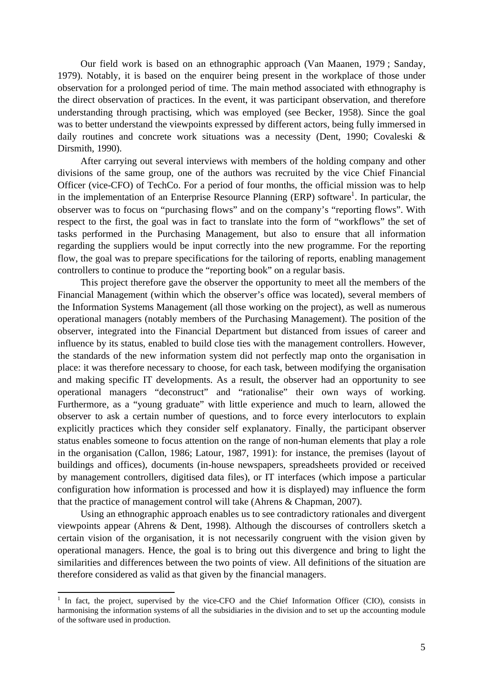Our field work is based on an ethnographic approach (Van Maanen, 1979 ; Sanday, 1979). Notably, it is based on the enquirer being present in the workplace of those under observation for a prolonged period of time. The main method associated with ethnography is the direct observation of practices. In the event, it was participant observation, and therefore understanding through practising, which was employed (see Becker, 1958). Since the goal was to better understand the viewpoints expressed by different actors, being fully immersed in daily routines and concrete work situations was a necessity (Dent, 1990; Covaleski & Dirsmith, 1990).

After carrying out several interviews with members of the holding company and other divisions of the same group, one of the authors was recruited by the vice Chief Financial Officer (vice-CFO) of TechCo. For a period of four months, the official mission was to help in the implementation of an Enterprise Resource Planning (ERP) software<sup>1</sup>. In particular, the observer was to focus on "purchasing flows" and on the company's "reporting flows". With respect to the first, the goal was in fact to translate into the form of "workflows" the set of tasks performed in the Purchasing Management, but also to ensure that all information regarding the suppliers would be input correctly into the new programme. For the reporting flow, the goal was to prepare specifications for the tailoring of reports, enabling management controllers to continue to produce the "reporting book" on a regular basis.

This project therefore gave the observer the opportunity to meet all the members of the Financial Management (within which the observer's office was located), several members of the Information Systems Management (all those working on the project), as well as numerous operational managers (notably members of the Purchasing Management). The position of the observer, integrated into the Financial Department but distanced from issues of career and influence by its status, enabled to build close ties with the management controllers. However, the standards of the new information system did not perfectly map onto the organisation in place: it was therefore necessary to choose, for each task, between modifying the organisation and making specific IT developments. As a result, the observer had an opportunity to see operational managers "deconstruct" and "rationalise" their own ways of working. Furthermore, as a "young graduate" with little experience and much to learn, allowed the observer to ask a certain number of questions, and to force every interlocutors to explain explicitly practices which they consider self explanatory. Finally, the participant observer status enables someone to focus attention on the range of non-human elements that play a role in the organisation (Callon, 1986; Latour, 1987, 1991): for instance, the premises (layout of buildings and offices), documents (in-house newspapers, spreadsheets provided or received by management controllers, digitised data files), or IT interfaces (which impose a particular configuration how information is processed and how it is displayed) may influence the form that the practice of management control will take (Ahrens & Chapman, 2007).

Using an ethnographic approach enables us to see contradictory rationales and divergent viewpoints appear (Ahrens & Dent, 1998). Although the discourses of controllers sketch a certain vision of the organisation, it is not necessarily congruent with the vision given by operational managers. Hence, the goal is to bring out this divergence and bring to light the similarities and differences between the two points of view. All definitions of the situation are therefore considered as valid as that given by the financial managers.

<sup>&</sup>lt;sup>1</sup> In fact, the project, supervised by the vice-CFO and the Chief Information Officer (CIO), consists in harmonising the information systems of all the subsidiaries in the division and to set up the accounting module of the software used in production.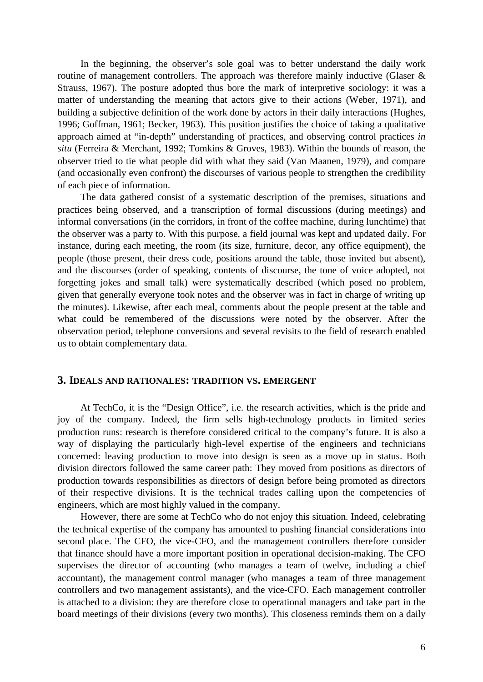In the beginning, the observer's sole goal was to better understand the daily work routine of management controllers. The approach was therefore mainly inductive (Glaser & Strauss, 1967). The posture adopted thus bore the mark of interpretive sociology: it was a matter of understanding the meaning that actors give to their actions (Weber, 1971), and building a subjective definition of the work done by actors in their daily interactions (Hughes, 1996; Goffman, 1961; Becker, 1963). This position justifies the choice of taking a qualitative approach aimed at "in-depth" understanding of practices, and observing control practices *in situ* (Ferreira & Merchant, 1992; Tomkins & Groves, 1983). Within the bounds of reason, the observer tried to tie what people did with what they said (Van Maanen, 1979), and compare (and occasionally even confront) the discourses of various people to strengthen the credibility of each piece of information.

The data gathered consist of a systematic description of the premises, situations and practices being observed, and a transcription of formal discussions (during meetings) and informal conversations (in the corridors, in front of the coffee machine, during lunchtime) that the observer was a party to. With this purpose, a field journal was kept and updated daily. For instance, during each meeting, the room (its size, furniture, decor, any office equipment), the people (those present, their dress code, positions around the table, those invited but absent), and the discourses (order of speaking, contents of discourse, the tone of voice adopted, not forgetting jokes and small talk) were systematically described (which posed no problem, given that generally everyone took notes and the observer was in fact in charge of writing up the minutes). Likewise, after each meal, comments about the people present at the table and what could be remembered of the discussions were noted by the observer. After the observation period, telephone conversions and several revisits to the field of research enabled us to obtain complementary data.

## **3. IDEALS AND RATIONALES: TRADITION VS. EMERGENT**

At TechCo, it is the "Design Office", i.e. the research activities, which is the pride and joy of the company. Indeed, the firm sells high-technology products in limited series production runs: research is therefore considered critical to the company's future. It is also a way of displaying the particularly high-level expertise of the engineers and technicians concerned: leaving production to move into design is seen as a move up in status. Both division directors followed the same career path: They moved from positions as directors of production towards responsibilities as directors of design before being promoted as directors of their respective divisions. It is the technical trades calling upon the competencies of engineers, which are most highly valued in the company.

However, there are some at TechCo who do not enjoy this situation. Indeed, celebrating the technical expertise of the company has amounted to pushing financial considerations into second place. The CFO, the vice-CFO, and the management controllers therefore consider that finance should have a more important position in operational decision-making. The CFO supervises the director of accounting (who manages a team of twelve, including a chief accountant), the management control manager (who manages a team of three management controllers and two management assistants), and the vice-CFO. Each management controller is attached to a division: they are therefore close to operational managers and take part in the board meetings of their divisions (every two months). This closeness reminds them on a daily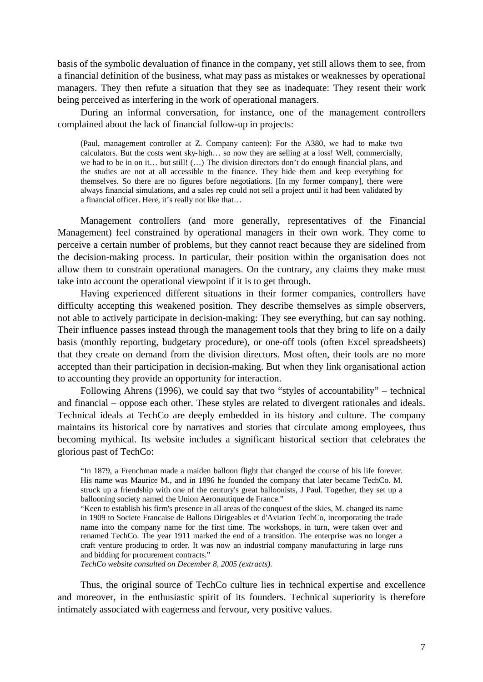basis of the symbolic devaluation of finance in the company, yet still allows them to see, from a financial definition of the business, what may pass as mistakes or weaknesses by operational managers. They then refute a situation that they see as inadequate: They resent their work being perceived as interfering in the work of operational managers.

During an informal conversation, for instance, one of the management controllers complained about the lack of financial follow-up in projects:

(Paul, management controller at Z. Company canteen): For the A380, we had to make two calculators. But the costs went sky-high… so now they are selling at a loss! Well, commercially, we had to be in on it… but still! (…) The division directors don't do enough financial plans, and the studies are not at all accessible to the finance. They hide them and keep everything for themselves. So there are no figures before negotiations. [In my former company], there were always financial simulations, and a sales rep could not sell a project until it had been validated by a financial officer. Here, it's really not like that…

Management controllers (and more generally, representatives of the Financial Management) feel constrained by operational managers in their own work. They come to perceive a certain number of problems, but they cannot react because they are sidelined from the decision-making process. In particular, their position within the organisation does not allow them to constrain operational managers. On the contrary, any claims they make must take into account the operational viewpoint if it is to get through.

Having experienced different situations in their former companies, controllers have difficulty accepting this weakened position. They describe themselves as simple observers, not able to actively participate in decision-making: They see everything, but can say nothing. Their influence passes instead through the management tools that they bring to life on a daily basis (monthly reporting, budgetary procedure), or one-off tools (often Excel spreadsheets) that they create on demand from the division directors. Most often, their tools are no more accepted than their participation in decision-making. But when they link organisational action to accounting they provide an opportunity for interaction.

Following Ahrens (1996), we could say that two "styles of accountability" – technical and financial – oppose each other. These styles are related to divergent rationales and ideals. Technical ideals at TechCo are deeply embedded in its history and culture. The company maintains its historical core by narratives and stories that circulate among employees, thus becoming mythical. Its website includes a significant historical section that celebrates the glorious past of TechCo:

"In 1879, a Frenchman made a maiden balloon flight that changed the course of his life forever. His name was Maurice M., and in 1896 he founded the company that later became TechCo. M. struck up a friendship with one of the century's great balloonists, J Paul. Together, they set up a ballooning society named the Union Aeronautique de France."

"Keen to establish his firm's presence in all areas of the conquest of the skies, M. changed its name in 1909 to Societe Francaise de Ballons Dirigeables et d'Aviation TechCo, incorporating the trade name into the company name for the first time. The workshops, in turn, were taken over and renamed TechCo. The year 1911 marked the end of a transition. The enterprise was no longer a craft venture producing to order. It was now an industrial company manufacturing in large runs and bidding for procurement contracts."

*TechCo website consulted on December 8, 2005 (extracts).*

Thus, the original source of TechCo culture lies in technical expertise and excellence and moreover, in the enthusiastic spirit of its founders. Technical superiority is therefore intimately associated with eagerness and fervour, very positive values.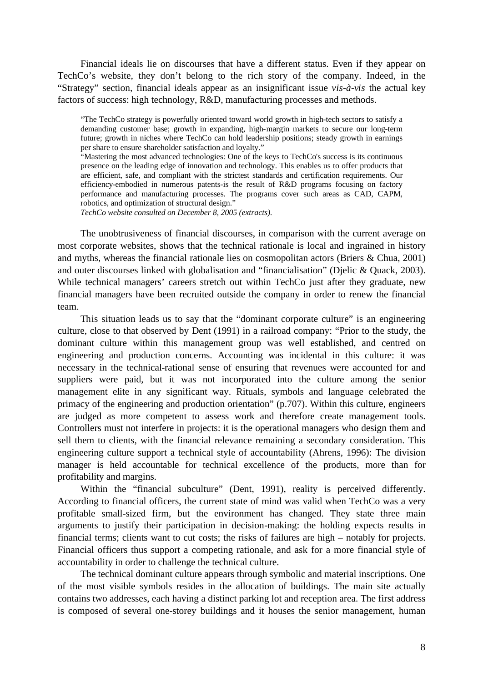Financial ideals lie on discourses that have a different status. Even if they appear on TechCo's website, they don't belong to the rich story of the company. Indeed, in the "Strategy" section, financial ideals appear as an insignificant issue *vis-à-vis* the actual key factors of success: high technology, R&D, manufacturing processes and methods.

"The TechCo strategy is powerfully oriented toward world growth in high-tech sectors to satisfy a demanding customer base; growth in expanding, high-margin markets to secure our long-term future; growth in niches where TechCo can hold leadership positions; steady growth in earnings per share to ensure shareholder satisfaction and loyalty."

"Mastering the most advanced technologies: One of the keys to TechCo's success is its continuous presence on the leading edge of innovation and technology. This enables us to offer products that are efficient, safe, and compliant with the strictest standards and certification requirements. Our efficiency-embodied in numerous patents-is the result of R&D programs focusing on factory performance and manufacturing processes. The programs cover such areas as CAD, CAPM, robotics, and optimization of structural design."

*TechCo website consulted on December 8, 2005 (extracts).*

The unobtrusiveness of financial discourses, in comparison with the current average on most corporate websites, shows that the technical rationale is local and ingrained in history and myths, whereas the financial rationale lies on cosmopolitan actors (Briers & Chua, 2001) and outer discourses linked with globalisation and "financialisation" (Djelic & Quack, 2003). While technical managers' careers stretch out within TechCo just after they graduate, new financial managers have been recruited outside the company in order to renew the financial team.

This situation leads us to say that the "dominant corporate culture" is an engineering culture, close to that observed by Dent (1991) in a railroad company: "Prior to the study, the dominant culture within this management group was well established, and centred on engineering and production concerns. Accounting was incidental in this culture: it was necessary in the technical-rational sense of ensuring that revenues were accounted for and suppliers were paid, but it was not incorporated into the culture among the senior management elite in any significant way. Rituals, symbols and language celebrated the primacy of the engineering and production orientation" (p.707). Within this culture, engineers are judged as more competent to assess work and therefore create management tools. Controllers must not interfere in projects: it is the operational managers who design them and sell them to clients, with the financial relevance remaining a secondary consideration. This engineering culture support a technical style of accountability (Ahrens, 1996): The division manager is held accountable for technical excellence of the products, more than for profitability and margins.

Within the "financial subculture" (Dent, 1991), reality is perceived differently. According to financial officers, the current state of mind was valid when TechCo was a very profitable small-sized firm, but the environment has changed. They state three main arguments to justify their participation in decision-making: the holding expects results in financial terms; clients want to cut costs; the risks of failures are high – notably for projects. Financial officers thus support a competing rationale, and ask for a more financial style of accountability in order to challenge the technical culture.

The technical dominant culture appears through symbolic and material inscriptions. One of the most visible symbols resides in the allocation of buildings. The main site actually contains two addresses, each having a distinct parking lot and reception area. The first address is composed of several one-storey buildings and it houses the senior management, human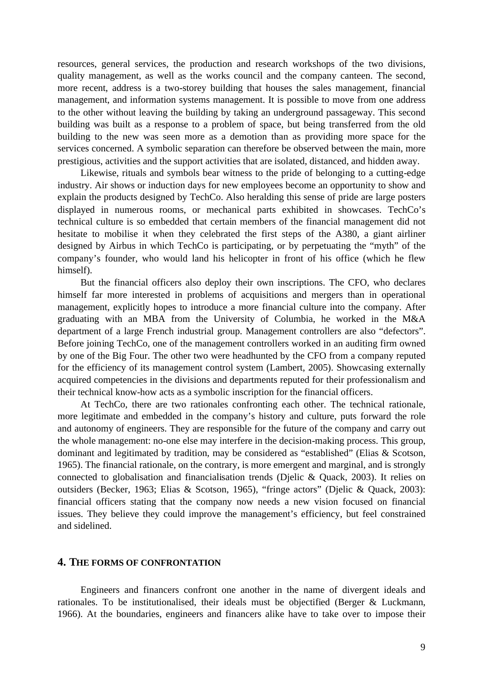resources, general services, the production and research workshops of the two divisions, quality management, as well as the works council and the company canteen. The second, more recent, address is a two-storey building that houses the sales management, financial management, and information systems management. It is possible to move from one address to the other without leaving the building by taking an underground passageway. This second building was built as a response to a problem of space, but being transferred from the old building to the new was seen more as a demotion than as providing more space for the services concerned. A symbolic separation can therefore be observed between the main, more prestigious, activities and the support activities that are isolated, distanced, and hidden away.

Likewise, rituals and symbols bear witness to the pride of belonging to a cutting-edge industry. Air shows or induction days for new employees become an opportunity to show and explain the products designed by TechCo. Also heralding this sense of pride are large posters displayed in numerous rooms, or mechanical parts exhibited in showcases. TechCo's technical culture is so embedded that certain members of the financial management did not hesitate to mobilise it when they celebrated the first steps of the A380, a giant airliner designed by Airbus in which TechCo is participating, or by perpetuating the "myth" of the company's founder, who would land his helicopter in front of his office (which he flew himself).

But the financial officers also deploy their own inscriptions. The CFO, who declares himself far more interested in problems of acquisitions and mergers than in operational management, explicitly hopes to introduce a more financial culture into the company. After graduating with an MBA from the University of Columbia, he worked in the M&A department of a large French industrial group. Management controllers are also "defectors". Before joining TechCo, one of the management controllers worked in an auditing firm owned by one of the Big Four. The other two were headhunted by the CFO from a company reputed for the efficiency of its management control system (Lambert, 2005). Showcasing externally acquired competencies in the divisions and departments reputed for their professionalism and their technical know-how acts as a symbolic inscription for the financial officers.

At TechCo, there are two rationales confronting each other. The technical rationale, more legitimate and embedded in the company's history and culture, puts forward the role and autonomy of engineers. They are responsible for the future of the company and carry out the whole management: no-one else may interfere in the decision-making process. This group, dominant and legitimated by tradition, may be considered as "established" (Elias & Scotson, 1965). The financial rationale, on the contrary, is more emergent and marginal, and is strongly connected to globalisation and financialisation trends (Djelic & Quack, 2003). It relies on outsiders (Becker, 1963; Elias & Scotson, 1965), "fringe actors" (Djelic & Quack, 2003): financial officers stating that the company now needs a new vision focused on financial issues. They believe they could improve the management's efficiency, but feel constrained and sidelined.

#### **4. THE FORMS OF CONFRONTATION**

Engineers and financers confront one another in the name of divergent ideals and rationales. To be institutionalised, their ideals must be objectified (Berger & Luckmann, 1966). At the boundaries, engineers and financers alike have to take over to impose their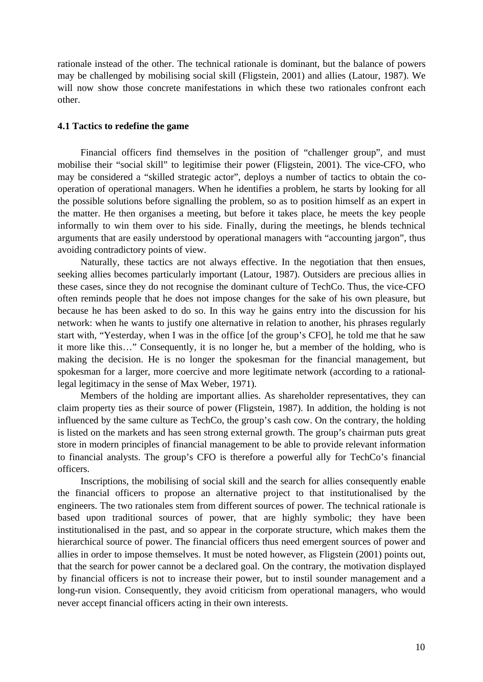rationale instead of the other. The technical rationale is dominant, but the balance of powers may be challenged by mobilising social skill (Fligstein, 2001) and allies (Latour, 1987). We will now show those concrete manifestations in which these two rationales confront each other.

### **4.1 Tactics to redefine the game**

Financial officers find themselves in the position of "challenger group", and must mobilise their "social skill" to legitimise their power (Fligstein, 2001). The vice-CFO, who may be considered a "skilled strategic actor", deploys a number of tactics to obtain the cooperation of operational managers. When he identifies a problem, he starts by looking for all the possible solutions before signalling the problem, so as to position himself as an expert in the matter. He then organises a meeting, but before it takes place, he meets the key people informally to win them over to his side. Finally, during the meetings, he blends technical arguments that are easily understood by operational managers with "accounting jargon", thus avoiding contradictory points of view.

Naturally, these tactics are not always effective. In the negotiation that then ensues, seeking allies becomes particularly important (Latour, 1987). Outsiders are precious allies in these cases, since they do not recognise the dominant culture of TechCo. Thus, the vice-CFO often reminds people that he does not impose changes for the sake of his own pleasure, but because he has been asked to do so. In this way he gains entry into the discussion for his network: when he wants to justify one alternative in relation to another, his phrases regularly start with, "Yesterday, when I was in the office [of the group's CFO], he told me that he saw it more like this…" Consequently, it is no longer he, but a member of the holding, who is making the decision. He is no longer the spokesman for the financial management, but spokesman for a larger, more coercive and more legitimate network (according to a rationallegal legitimacy in the sense of Max Weber, 1971).

Members of the holding are important allies. As shareholder representatives, they can claim property ties as their source of power (Fligstein, 1987). In addition, the holding is not influenced by the same culture as TechCo, the group's cash cow. On the contrary, the holding is listed on the markets and has seen strong external growth. The group's chairman puts great store in modern principles of financial management to be able to provide relevant information to financial analysts. The group's CFO is therefore a powerful ally for TechCo's financial officers.

Inscriptions, the mobilising of social skill and the search for allies consequently enable the financial officers to propose an alternative project to that institutionalised by the engineers. The two rationales stem from different sources of power. The technical rationale is based upon traditional sources of power, that are highly symbolic; they have been institutionalised in the past, and so appear in the corporate structure, which makes them the hierarchical source of power. The financial officers thus need emergent sources of power and allies in order to impose themselves. It must be noted however, as Fligstein (2001) points out, that the search for power cannot be a declared goal. On the contrary, the motivation displayed by financial officers is not to increase their power, but to instil sounder management and a long-run vision. Consequently, they avoid criticism from operational managers, who would never accept financial officers acting in their own interests.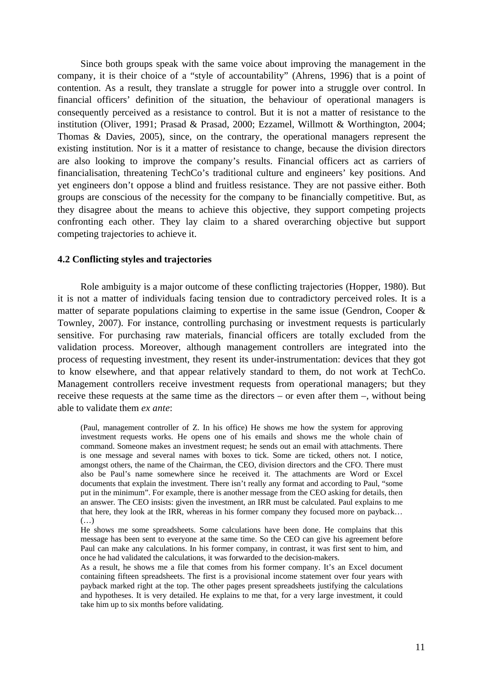Since both groups speak with the same voice about improving the management in the company, it is their choice of a "style of accountability" (Ahrens, 1996) that is a point of contention. As a result, they translate a struggle for power into a struggle over control. In financial officers' definition of the situation, the behaviour of operational managers is consequently perceived as a resistance to control. But it is not a matter of resistance to the institution (Oliver, 1991; Prasad & Prasad, 2000; Ezzamel, Willmott & Worthington, 2004; Thomas & Davies, 2005), since, on the contrary, the operational managers represent the existing institution. Nor is it a matter of resistance to change, because the division directors are also looking to improve the company's results. Financial officers act as carriers of financialisation, threatening TechCo's traditional culture and engineers' key positions. And yet engineers don't oppose a blind and fruitless resistance. They are not passive either. Both groups are conscious of the necessity for the company to be financially competitive. But, as they disagree about the means to achieve this objective, they support competing projects confronting each other. They lay claim to a shared overarching objective but support competing trajectories to achieve it.

#### **4.2 Conflicting styles and trajectories**

Role ambiguity is a major outcome of these conflicting trajectories (Hopper, 1980). But it is not a matter of individuals facing tension due to contradictory perceived roles. It is a matter of separate populations claiming to expertise in the same issue (Gendron, Cooper & Townley, 2007). For instance, controlling purchasing or investment requests is particularly sensitive. For purchasing raw materials, financial officers are totally excluded from the validation process. Moreover, although management controllers are integrated into the process of requesting investment, they resent its under-instrumentation: devices that they got to know elsewhere, and that appear relatively standard to them, do not work at TechCo. Management controllers receive investment requests from operational managers; but they receive these requests at the same time as the directors – or even after them –, without being able to validate them *ex ante*:

(Paul, management controller of Z. In his office) He shows me how the system for approving investment requests works. He opens one of his emails and shows me the whole chain of command. Someone makes an investment request; he sends out an email with attachments. There is one message and several names with boxes to tick. Some are ticked, others not. I notice, amongst others, the name of the Chairman, the CEO, division directors and the CFO. There must also be Paul's name somewhere since he received it. The attachments are Word or Excel documents that explain the investment. There isn't really any format and according to Paul, "some put in the minimum". For example, there is another message from the CEO asking for details, then an answer. The CEO insists: given the investment, an IRR must be calculated. Paul explains to me that here, they look at the IRR, whereas in his former company they focused more on payback… (…)

He shows me some spreadsheets. Some calculations have been done. He complains that this message has been sent to everyone at the same time. So the CEO can give his agreement before Paul can make any calculations. In his former company, in contrast, it was first sent to him, and once he had validated the calculations, it was forwarded to the decision-makers.

As a result, he shows me a file that comes from his former company. It's an Excel document containing fifteen spreadsheets. The first is a provisional income statement over four years with payback marked right at the top. The other pages present spreadsheets justifying the calculations and hypotheses. It is very detailed. He explains to me that, for a very large investment, it could take him up to six months before validating.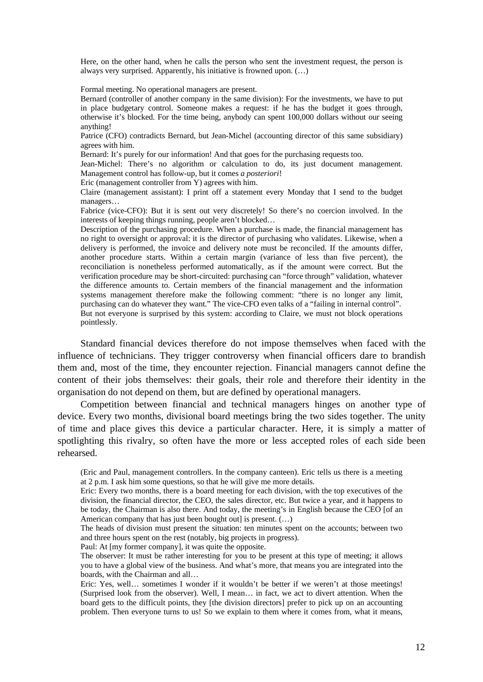Here, on the other hand, when he calls the person who sent the investment request, the person is always very surprised. Apparently, his initiative is frowned upon. (…)

Formal meeting. No operational managers are present.

Bernard (controller of another company in the same division): For the investments, we have to put in place budgetary control. Someone makes a request: if he has the budget it goes through, otherwise it's blocked. For the time being, anybody can spent 100,000 dollars without our seeing anything!

Patrice (CFO) contradicts Bernard, but Jean-Michel (accounting director of this same subsidiary) agrees with him.

Bernard: It's purely for our information! And that goes for the purchasing requests too.

Jean-Michel: There's no algorithm or calculation to do, its just document management. Management control has follow-up, but it comes *a posteriori*!

Eric (management controller from Y) agrees with him.

Claire (management assistant): I print off a statement every Monday that I send to the budget managers…

Fabrice (vice-CFO): But it is sent out very discretely! So there's no coercion involved. In the interests of keeping things running, people aren't blocked…

Description of the purchasing procedure. When a purchase is made, the financial management has no right to oversight or approval: it is the director of purchasing who validates. Likewise, when a delivery is performed, the invoice and delivery note must be reconciled. If the amounts differ, another procedure starts. Within a certain margin (variance of less than five percent), the reconciliation is nonetheless performed automatically, as if the amount were correct. But the verification procedure may be short-circuited: purchasing can "force through" validation, whatever the difference amounts to. Certain members of the financial management and the information systems management therefore make the following comment: "there is no longer any limit, purchasing can do whatever they want." The vice-CFO even talks of a "failing in internal control". But not everyone is surprised by this system: according to Claire, we must not block operations pointlessly.

Standard financial devices therefore do not impose themselves when faced with the influence of technicians. They trigger controversy when financial officers dare to brandish them and, most of the time, they encounter rejection. Financial managers cannot define the content of their jobs themselves: their goals, their role and therefore their identity in the organisation do not depend on them, but are defined by operational managers.

Competition between financial and technical managers hinges on another type of device. Every two months, divisional board meetings bring the two sides together. The unity of time and place gives this device a particular character. Here, it is simply a matter of spotlighting this rivalry, so often have the more or less accepted roles of each side been rehearsed.

(Eric and Paul, management controllers. In the company canteen). Eric tells us there is a meeting at 2 p.m. I ask him some questions, so that he will give me more details.

Eric: Every two months, there is a board meeting for each division, with the top executives of the division, the financial director, the CEO, the sales director, etc. But twice a year, and it happens to be today, the Chairman is also there. And today, the meeting's in English because the CEO [of an American company that has just been bought out] is present. (...)

The heads of division must present the situation: ten minutes spent on the accounts; between two and three hours spent on the rest (notably, big projects in progress).

Paul: At  $[my]$  former company, it was quite the opposite.

The observer: It must be rather interesting for you to be present at this type of meeting; it allows you to have a global view of the business. And what's more, that means you are integrated into the boards, with the Chairman and all…

Eric: Yes, well… sometimes I wonder if it wouldn't be better if we weren't at those meetings! (Surprised look from the observer). Well, I mean… in fact, we act to divert attention. When the board gets to the difficult points, they [the division directors] prefer to pick up on an accounting problem. Then everyone turns to us! So we explain to them where it comes from, what it means,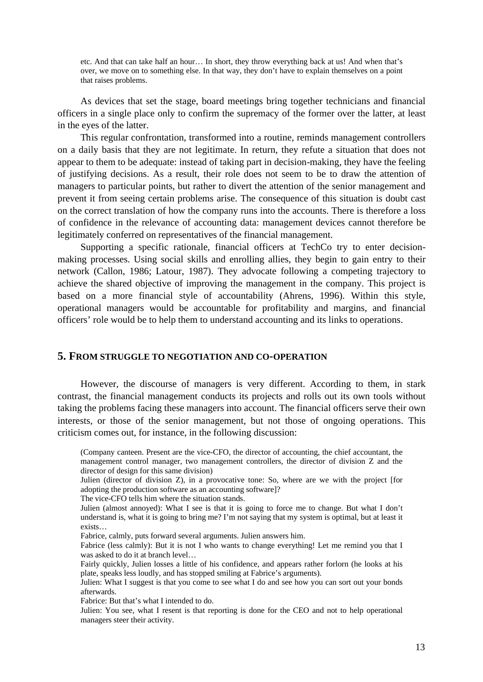etc. And that can take half an hour… In short, they throw everything back at us! And when that's over, we move on to something else. In that way, they don't have to explain themselves on a point that raises problems.

As devices that set the stage, board meetings bring together technicians and financial officers in a single place only to confirm the supremacy of the former over the latter, at least in the eyes of the latter.

This regular confrontation, transformed into a routine, reminds management controllers on a daily basis that they are not legitimate. In return, they refute a situation that does not appear to them to be adequate: instead of taking part in decision-making, they have the feeling of justifying decisions. As a result, their role does not seem to be to draw the attention of managers to particular points, but rather to divert the attention of the senior management and prevent it from seeing certain problems arise. The consequence of this situation is doubt cast on the correct translation of how the company runs into the accounts. There is therefore a loss of confidence in the relevance of accounting data: management devices cannot therefore be legitimately conferred on representatives of the financial management.

Supporting a specific rationale, financial officers at TechCo try to enter decisionmaking processes. Using social skills and enrolling allies, they begin to gain entry to their network (Callon, 1986; Latour, 1987). They advocate following a competing trajectory to achieve the shared objective of improving the management in the company. This project is based on a more financial style of accountability (Ahrens, 1996). Within this style, operational managers would be accountable for profitability and margins, and financial officers' role would be to help them to understand accounting and its links to operations.

#### **5. FROM STRUGGLE TO NEGOTIATION AND CO-OPERATION**

However, the discourse of managers is very different. According to them, in stark contrast, the financial management conducts its projects and rolls out its own tools without taking the problems facing these managers into account. The financial officers serve their own interests, or those of the senior management, but not those of ongoing operations. This criticism comes out, for instance, in the following discussion:

The vice-CFO tells him where the situation stands.

Fabrice (less calmly): But it is not I who wants to change everything! Let me remind you that I was asked to do it at branch level…

Fairly quickly, Julien losses a little of his confidence, and appears rather forlorn (he looks at his plate, speaks less loudly, and has stopped smiling at Fabrice's arguments).

Fabrice: But that's what I intended to do.

<sup>(</sup>Company canteen. Present are the vice-CFO, the director of accounting, the chief accountant, the management control manager, two management controllers, the director of division Z and the director of design for this same division)

Julien (director of division Z), in a provocative tone: So, where are we with the project [for adopting the production software as an accounting software]?

Julien (almost annoyed): What I see is that it is going to force me to change. But what I don't understand is, what it is going to bring me? I'm not saying that my system is optimal, but at least it exists…

Fabrice, calmly, puts forward several arguments. Julien answers him.

Julien: What I suggest is that you come to see what I do and see how you can sort out your bonds afterwards.

Julien: You see, what I resent is that reporting is done for the CEO and not to help operational managers steer their activity.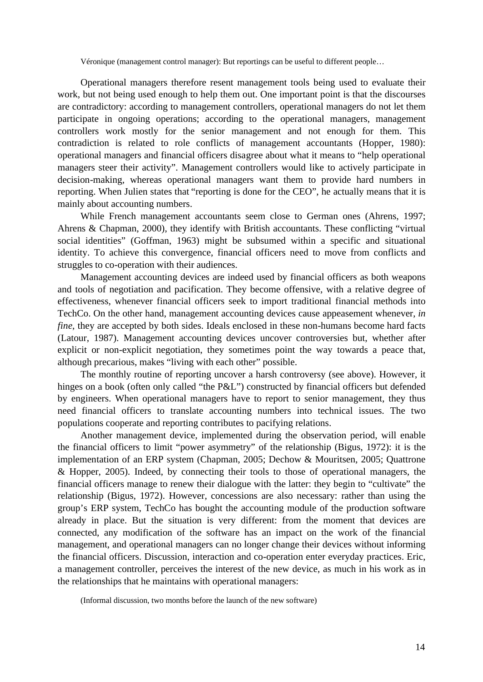Véronique (management control manager): But reportings can be useful to different people…

Operational managers therefore resent management tools being used to evaluate their work, but not being used enough to help them out. One important point is that the discourses are contradictory: according to management controllers, operational managers do not let them participate in ongoing operations; according to the operational managers, management controllers work mostly for the senior management and not enough for them. This contradiction is related to role conflicts of management accountants (Hopper, 1980): operational managers and financial officers disagree about what it means to "help operational managers steer their activity". Management controllers would like to actively participate in decision-making, whereas operational managers want them to provide hard numbers in reporting. When Julien states that "reporting is done for the CEO", he actually means that it is mainly about accounting numbers.

While French management accountants seem close to German ones (Ahrens, 1997; Ahrens & Chapman, 2000), they identify with British accountants. These conflicting "virtual social identities" (Goffman, 1963) might be subsumed within a specific and situational identity. To achieve this convergence, financial officers need to move from conflicts and struggles to co-operation with their audiences.

Management accounting devices are indeed used by financial officers as both weapons and tools of negotiation and pacification. They become offensive, with a relative degree of effectiveness, whenever financial officers seek to import traditional financial methods into TechCo. On the other hand, management accounting devices cause appeasement whenever, *in fine*, they are accepted by both sides. Ideals enclosed in these non-humans become hard facts (Latour, 1987). Management accounting devices uncover controversies but, whether after explicit or non-explicit negotiation, they sometimes point the way towards a peace that, although precarious, makes "living with each other" possible.

The monthly routine of reporting uncover a harsh controversy (see above). However, it hinges on a book (often only called "the P&L") constructed by financial officers but defended by engineers. When operational managers have to report to senior management, they thus need financial officers to translate accounting numbers into technical issues. The two populations cooperate and reporting contributes to pacifying relations.

Another management device, implemented during the observation period, will enable the financial officers to limit "power asymmetry" of the relationship (Bigus, 1972): it is the implementation of an ERP system (Chapman, 2005; Dechow & Mouritsen, 2005; Quattrone & Hopper, 2005). Indeed, by connecting their tools to those of operational managers, the financial officers manage to renew their dialogue with the latter: they begin to "cultivate" the relationship (Bigus, 1972). However, concessions are also necessary: rather than using the group's ERP system, TechCo has bought the accounting module of the production software already in place. But the situation is very different: from the moment that devices are connected, any modification of the software has an impact on the work of the financial management, and operational managers can no longer change their devices without informing the financial officers. Discussion, interaction and co-operation enter everyday practices. Eric, a management controller, perceives the interest of the new device, as much in his work as in the relationships that he maintains with operational managers:

<sup>(</sup>Informal discussion, two months before the launch of the new software)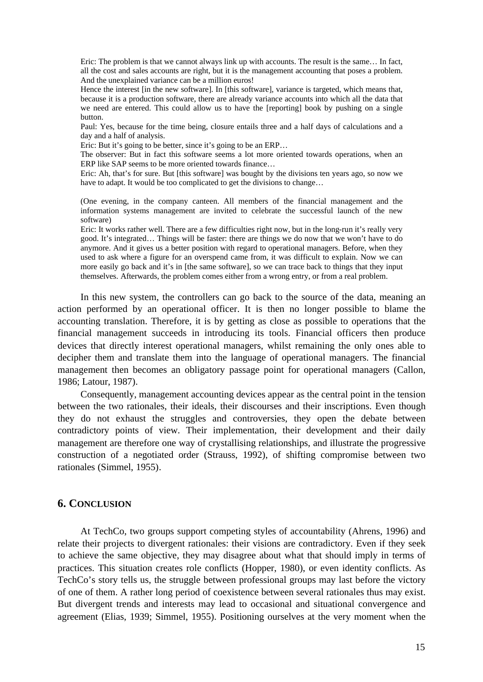Eric: The problem is that we cannot always link up with accounts. The result is the same… In fact, all the cost and sales accounts are right, but it is the management accounting that poses a problem. And the unexplained variance can be a million euros!

Hence the interest [in the new software]. In [this software], variance is targeted, which means that, because it is a production software, there are already variance accounts into which all the data that we need are entered. This could allow us to have the [reporting] book by pushing on a single button.

Paul: Yes, because for the time being, closure entails three and a half days of calculations and a day and a half of analysis.

Eric: But it's going to be better, since it's going to be an ERP…

The observer: But in fact this software seems a lot more oriented towards operations, when an ERP like SAP seems to be more oriented towards finance…

Eric: Ah, that's for sure. But [this software] was bought by the divisions ten years ago, so now we have to adapt. It would be too complicated to get the divisions to change…

(One evening, in the company canteen. All members of the financial management and the information systems management are invited to celebrate the successful launch of the new software)

Eric: It works rather well. There are a few difficulties right now, but in the long-run it's really very good. It's integrated… Things will be faster: there are things we do now that we won't have to do anymore. And it gives us a better position with regard to operational managers. Before, when they used to ask where a figure for an overspend came from, it was difficult to explain. Now we can more easily go back and it's in [the same software], so we can trace back to things that they input themselves. Afterwards, the problem comes either from a wrong entry, or from a real problem.

In this new system, the controllers can go back to the source of the data, meaning an action performed by an operational officer. It is then no longer possible to blame the accounting translation. Therefore, it is by getting as close as possible to operations that the financial management succeeds in introducing its tools. Financial officers then produce devices that directly interest operational managers, whilst remaining the only ones able to decipher them and translate them into the language of operational managers. The financial management then becomes an obligatory passage point for operational managers (Callon, 1986; Latour, 1987).

Consequently, management accounting devices appear as the central point in the tension between the two rationales, their ideals, their discourses and their inscriptions. Even though they do not exhaust the struggles and controversies, they open the debate between contradictory points of view. Their implementation, their development and their daily management are therefore one way of crystallising relationships, and illustrate the progressive construction of a negotiated order (Strauss, 1992), of shifting compromise between two rationales (Simmel, 1955).

## **6. CONCLUSION**

At TechCo, two groups support competing styles of accountability (Ahrens, 1996) and relate their projects to divergent rationales: their visions are contradictory. Even if they seek to achieve the same objective, they may disagree about what that should imply in terms of practices. This situation creates role conflicts (Hopper, 1980), or even identity conflicts. As TechCo's story tells us, the struggle between professional groups may last before the victory of one of them. A rather long period of coexistence between several rationales thus may exist. But divergent trends and interests may lead to occasional and situational convergence and agreement (Elias, 1939; Simmel, 1955). Positioning ourselves at the very moment when the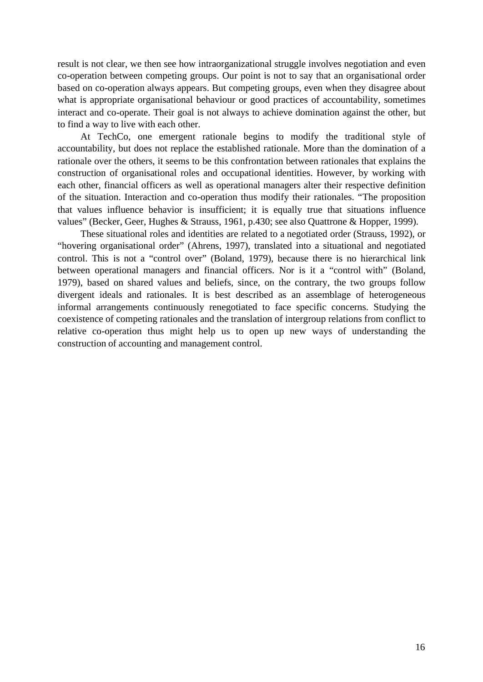result is not clear, we then see how intraorganizational struggle involves negotiation and even co-operation between competing groups. Our point is not to say that an organisational order based on co-operation always appears. But competing groups, even when they disagree about what is appropriate organisational behaviour or good practices of accountability, sometimes interact and co-operate. Their goal is not always to achieve domination against the other, but to find a way to live with each other.

At TechCo, one emergent rationale begins to modify the traditional style of accountability, but does not replace the established rationale. More than the domination of a rationale over the others, it seems to be this confrontation between rationales that explains the construction of organisational roles and occupational identities. However, by working with each other, financial officers as well as operational managers alter their respective definition of the situation. Interaction and co-operation thus modify their rationales. "The proposition that values influence behavior is insufficient; it is equally true that situations influence values" (Becker, Geer, Hughes & Strauss, 1961, p.430; see also Quattrone & Hopper, 1999).

These situational roles and identities are related to a negotiated order (Strauss, 1992), or "hovering organisational order" (Ahrens, 1997), translated into a situational and negotiated control. This is not a "control over" (Boland, 1979), because there is no hierarchical link between operational managers and financial officers. Nor is it a "control with" (Boland, 1979), based on shared values and beliefs, since, on the contrary, the two groups follow divergent ideals and rationales. It is best described as an assemblage of heterogeneous informal arrangements continuously renegotiated to face specific concerns. Studying the coexistence of competing rationales and the translation of intergroup relations from conflict to relative co-operation thus might help us to open up new ways of understanding the construction of accounting and management control.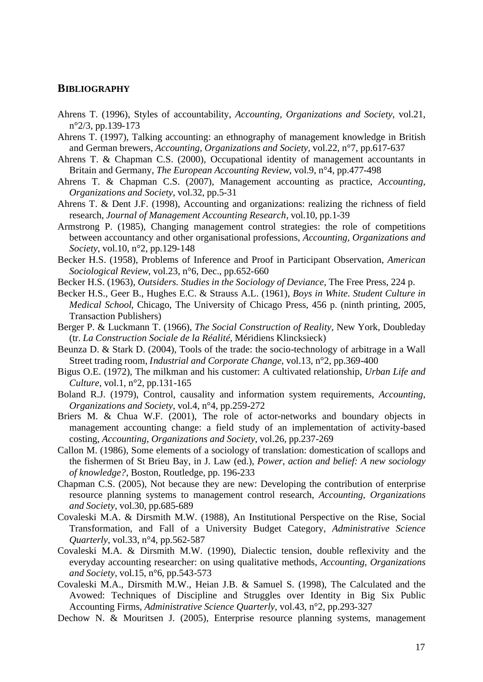## **BIBLIOGRAPHY**

- Ahrens T. (1996), Styles of accountability, *Accounting, Organizations and Society*, vol.21, n°2/3, pp.139-173
- Ahrens T. (1997), Talking accounting: an ethnography of management knowledge in British and German brewers, *Accounting, Organizations and Society*, vol.22, n°7, pp.617-637
- Ahrens T. & Chapman C.S. (2000), Occupational identity of management accountants in Britain and Germany, *The European Accounting Review*, vol.9, n°4, pp.477-498
- Ahrens T. & Chapman C.S. (2007), Management accounting as practice, *Accounting, Organizations and Society*, vol.32, pp.5-31
- Ahrens T. & Dent J.F. (1998), Accounting and organizations: realizing the richness of field research, *Journal of Management Accounting Research*, vol.10, pp.1-39
- Armstrong P. (1985), Changing management control strategies: the role of competitions between accountancy and other organisational professions, *Accounting, Organizations and Society*, vol.10, n°2, pp.129-148
- Becker H.S. (1958), Problems of Inference and Proof in Participant Observation, *American Sociological Review*, vol.23, n°6, Dec., pp.652-660
- Becker H.S. (1963), *Outsiders. Studies in the Sociology of Deviance*, The Free Press, 224 p.
- Becker H.S., Geer B., Hughes E.C. & Strauss A.L. (1961), *Boys in White. Student Culture in Medical School*, Chicago, The University of Chicago Press, 456 p. (ninth printing, 2005, Transaction Publishers)
- Berger P. & Luckmann T. (1966), *The Social Construction of Reality*, New York, Doubleday (tr. *La Construction Sociale de la Réalité*, Méridiens Klincksieck)
- Beunza D. & Stark D. (2004), Tools of the trade: the socio-technology of arbitrage in a Wall Street trading room, *Industrial and Corporate Change*, vol.13, n°2, pp.369-400
- Bigus O.E. (1972), The milkman and his customer: A cultivated relationship, *Urban Life and Culture*, vol.1, n°2, pp.131-165
- Boland R.J. (1979), Control, causality and information system requirements, *Accounting, Organizations and Society*, vol.4, n°4, pp.259-272
- Briers M. & Chua W.F. (2001), The role of actor-networks and boundary objects in management accounting change: a field study of an implementation of activity-based costing, *Accounting, Organizations and Society*, vol.26, pp.237-269
- Callon M. (1986), Some elements of a sociology of translation: domestication of scallops and the fishermen of St Brieu Bay, in J. Law (ed.), *Power, action and belief: A new sociology of knowledge?*, Boston, Routledge, pp. 196-233
- Chapman C.S. (2005), Not because they are new: Developing the contribution of enterprise resource planning systems to management control research, *Accounting, Organizations and Society*, vol.30, pp.685-689
- Covaleski M.A. & Dirsmith M.W. (1988), An Institutional Perspective on the Rise, Social Transformation, and Fall of a University Budget Category, *Administrative Science Quarterly*, vol.33, n°4, pp.562-587
- Covaleski M.A. & Dirsmith M.W. (1990), Dialectic tension, double reflexivity and the everyday accounting researcher: on using qualitative methods, *Accounting, Organizations and Society*, vol.15, n°6, pp.543-573
- Covaleski M.A., Dirsmith M.W., Heian J.B. & Samuel S. (1998), The Calculated and the Avowed: Techniques of Discipline and Struggles over Identity in Big Six Public Accounting Firms, *Administrative Science Quarterly*, vol.43, n°2, pp.293-327
- Dechow N. & Mouritsen J. (2005), Enterprise resource planning systems, management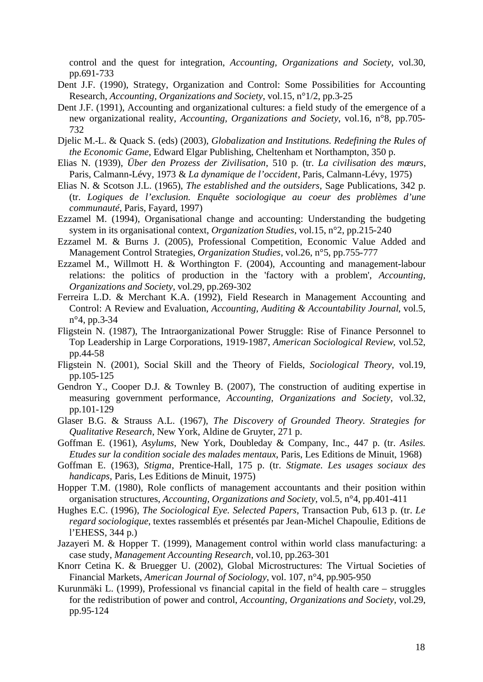control and the quest for integration, *Accounting, Organizations and Society*, vol.30, pp.691-733

- Dent J.F. (1990), Strategy, Organization and Control: Some Possibilities for Accounting Research, *Accounting, Organizations and Society*, vol.15, n°1/2, pp.3-25
- Dent J.F. (1991), Accounting and organizational cultures: a field study of the emergence of a new organizational reality, *Accounting, Organizations and Society*, vol.16, n°8, pp.705- 732
- Djelic M.-L. & Quack S. (eds) (2003), *Globalization and Institutions. Redefining the Rules of the Economic Game*, Edward Elgar Publishing, Cheltenham et Northampton, 350 p.
- Elias N. (1939), *Über den Prozess der Zivilisation*, 510 p. (tr. *La civilisation des mœurs*, Paris, Calmann-Lévy, 1973 & *La dynamique de l'occident*, Paris, Calmann-Lévy, 1975)
- Elias N. & Scotson J.L. (1965), *The established and the outsiders*, Sage Publications, 342 p. (tr. *Logiques de l'exclusion. Enquête sociologique au coeur des problèmes d'une communauté*, Paris, Fayard, 1997)
- Ezzamel M. (1994), Organisational change and accounting: Understanding the budgeting system in its organisational context, *Organization Studies*, vol.15, n°2, pp.215-240
- Ezzamel M. & Burns J. (2005), Professional Competition, Economic Value Added and Management Control Strategies, *Organization Studies*, vol.26, n°5, pp.755-777
- Ezzamel M., Willmott H. & Worthington F. (2004), Accounting and management-labour relations: the politics of production in the 'factory with a problem', *Accounting, Organizations and Society*, vol.29, pp.269-302
- Ferreira L.D. & Merchant K.A. (1992), Field Research in Management Accounting and Control: A Review and Evaluation, *Accounting, Auditing & Accountability Journal*, vol.5, n°4, pp.3-34
- Fligstein N. (1987), The Intraorganizational Power Struggle: Rise of Finance Personnel to Top Leadership in Large Corporations, 1919-1987, *American Sociological Review*, vol.52, pp.44-58
- Fligstein N. (2001), Social Skill and the Theory of Fields, *Sociological Theory*, vol.19, pp.105-125
- Gendron Y., Cooper D.J. & Townley B. (2007), The construction of auditing expertise in measuring government performance, *Accounting, Organizations and Society*, vol.32, pp.101-129
- Glaser B.G. & Strauss A.L. (1967), *The Discovery of Grounded Theory. Strategies for Qualitative Research*, New York, Aldine de Gruyter, 271 p.
- Goffman E. (1961), *Asylums*, New York, Doubleday & Company, Inc., 447 p. (tr. *Asiles. Etudes sur la condition sociale des malades mentaux*, Paris, Les Editions de Minuit, 1968)
- Goffman E. (1963), *Stigma*, Prentice-Hall, 175 p. (tr. *Stigmate. Les usages sociaux des handicaps*, Paris, Les Editions de Minuit, 1975)
- Hopper T.M. (1980), Role conflicts of management accountants and their position within organisation structures, *Accounting, Organizations and Society*, vol.5, n°4, pp.401-411
- Hughes E.C. (1996), *The Sociological Eye. Selected Papers*, Transaction Pub, 613 p. (tr. *Le regard sociologique*, textes rassemblés et présentés par Jean-Michel Chapoulie, Editions de l'EHESS, 344 p.)
- Jazayeri M. & Hopper T. (1999), Management control within world class manufacturing: a case study, *Management Accounting Research*, vol.10, pp.263-301
- Knorr Cetina K. & Bruegger U. (2002), Global Microstructures: The Virtual Societies of Financial Markets, *American Journal of Sociology*, vol. 107, n°4, pp.905-950
- Kurunmäki L. (1999), Professional vs financial capital in the field of health care struggles for the redistribution of power and control, *Accounting, Organizations and Society*, vol.29, pp.95-124